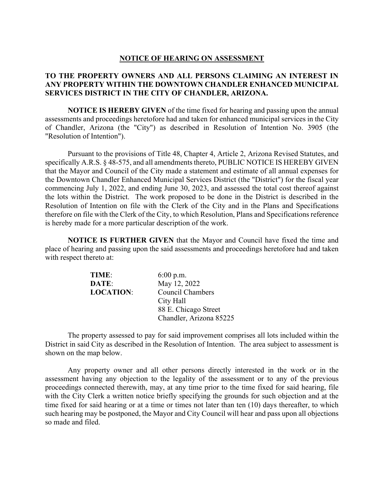## **NOTICE OF HEARING ON ASSESSMENT**

## **TO THE PROPERTY OWNERS AND ALL PERSONS CLAIMING AN INTEREST IN ANY PROPERTY WITHIN THE DOWNTOWN CHANDLER ENHANCED MUNICIPAL SERVICES DISTRICT IN THE CITY OF CHANDLER, ARIZONA.**

**NOTICE IS HEREBY GIVEN** of the time fixed for hearing and passing upon the annual assessments and proceedings heretofore had and taken for enhanced municipal services in the City of Chandler, Arizona (the "City") as described in Resolution of Intention No. 3905 (the "Resolution of Intention").

 Pursuant to the provisions of Title 48, Chapter 4, Article 2, Arizona Revised Statutes, and specifically A.R.S. § 48-575, and all amendments thereto, PUBLIC NOTICE IS HEREBY GIVEN that the Mayor and Council of the City made a statement and estimate of all annual expenses for the Downtown Chandler Enhanced Municipal Services District (the "District") for the fiscal year commencing July 1, 2022, and ending June 30, 2023, and assessed the total cost thereof against the lots within the District. The work proposed to be done in the District is described in the Resolution of Intention on file with the Clerk of the City and in the Plans and Specifications therefore on file with the Clerk of the City, to which Resolution, Plans and Specifications reference is hereby made for a more particular description of the work.

**NOTICE IS FURTHER GIVEN** that the Mayor and Council have fixed the time and place of hearing and passing upon the said assessments and proceedings heretofore had and taken with respect thereto at:

| TIME:            | $6:00$ p.m.             |
|------------------|-------------------------|
| DATE:            | May 12, 2022            |
| <b>LOCATION:</b> | <b>Council Chambers</b> |
|                  | City Hall               |
|                  | 88 E. Chicago Street    |
|                  | Chandler, Arizona 85225 |

 The property assessed to pay for said improvement comprises all lots included within the District in said City as described in the Resolution of Intention. The area subject to assessment is shown on the map below.

 Any property owner and all other persons directly interested in the work or in the assessment having any objection to the legality of the assessment or to any of the previous proceedings connected therewith, may, at any time prior to the time fixed for said hearing, file with the City Clerk a written notice briefly specifying the grounds for such objection and at the time fixed for said hearing or at a time or times not later than ten (10) days thereafter, to which such hearing may be postponed, the Mayor and City Council will hear and pass upon all objections so made and filed.